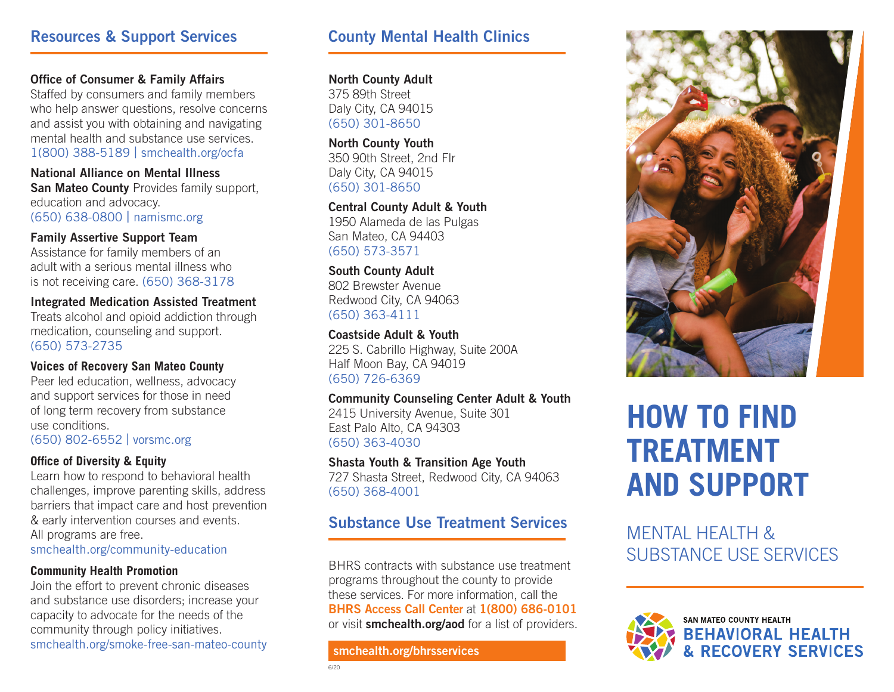### Resources & Support Services

### Office of Consumer & Family Affairs

Staffed by consumers and family members who help answer questions, resolve concerns and assist you with obtaining and navigating mental health and substance use services. 1(800) 388-5189 | smchealth.org/ocfa

National Alliance on Mental Illness San Mateo County Provides family support. education and advocacy. (650) 638-0800 | namismc.org

Family Assertive Support Team Assistance for family members of an adult with a serious mental illness who is not receiving care. (650) 368-3178

Integrated Medication Assisted Treatment Treats alcohol and opioid addiction through medication, counseling and support. (650) 573-2735

### **Voices of Recovery San Mateo County**

Peer led education, wellness, advocacy and support services for those in need of long term recovery from substance use conditions. (650) 802-6552 | vorsmc.org

### **Office of Diversity & Equity**

Learn how to respond to behavioral health challenges, improve parenting skills, address barriers that impact care and host prevention & early intervention courses and events. All programs are free.

smchealth.org/community-education

### **Community Health Promotion**

Join the effort to prevent chronic diseases and substance use disorders; increase your capacity to advocate for the needs of the community through policy initiatives. smchealth.org/smoke-free-san-mateo-county

### County Mental Health Clinics

North County Adult 375 89th Street Daly City, CA 94015 (650) 301-8650

North County Youth 350 90th Street, 2nd Flr Daly City, CA 94015 (650) 301-8650

Central County Adult & Youth 1950 Alameda de las Pulgas San Mateo, CA 94403 (650) 573-3571

South County Adult 802 Brewster Avenue Redwood City, CA 94063 (650) 363-4111

Coastside Adult & Youth 225 S. Cabrillo Highway, Suite 200A Half Moon Bay, CA 94019 (650) 726-6369

### Community Counseling Center Adult & Youth

2415 University Avenue, Suite 301 East Palo Alto, CA 94303 (650) 363-4030

### Shasta Youth & Transition Age Youth

727 Shasta Street, Redwood City, CA 94063 (650) 368-4001

## Substance Use Treatment Services<br>MENTAL HEALTH &

BHRS contracts with substance use treatment programs throughout the county to provide these services. For more information, call the BHRS Access Call Center at 1(800) 686-0101 or visit smchealth.org/aod for a list of providers.

### smchealth.org/bhrsservices



# **HOW TO FIND TREATMENT AND SUPPORT**

SUBSTANCE USE SERVICES